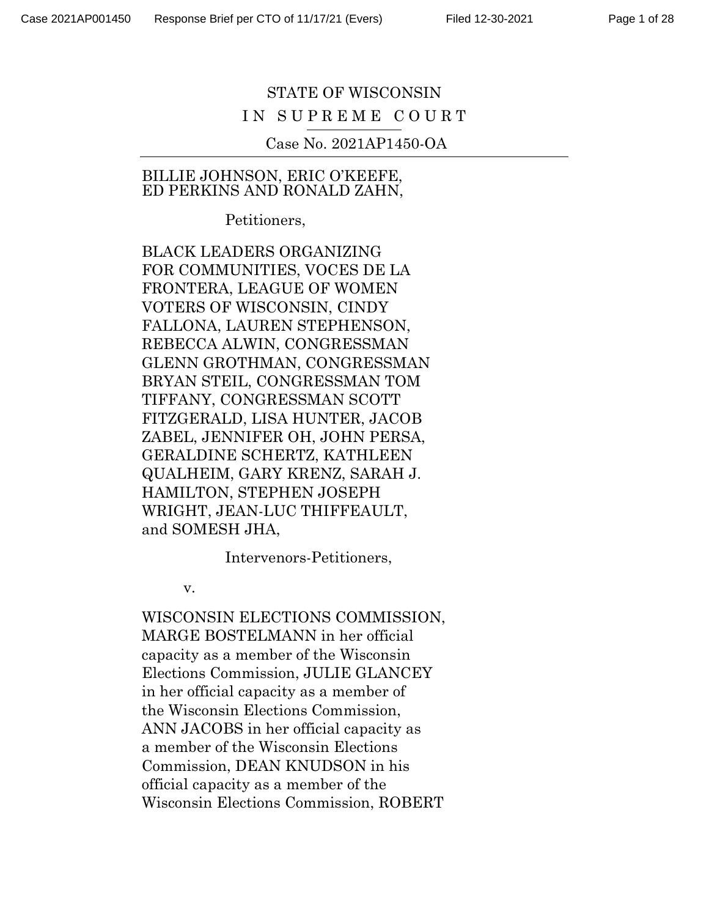# STATE OF WISCONSIN IN SUPREME COURT

Case No. 2021AP1450-OA

#### BILLIE JOHNSON, ERIC O'KEEFE, ED PERKINS AND RONALD ZAHN,

Petitioners,

BLACK LEADERS ORGANIZING FOR COMMUNITIES, VOCES DE LA FRONTERA, LEAGUE OF WOMEN VOTERS OF WISCONSIN, CINDY FALLONA, LAUREN STEPHENSON, REBECCA ALWIN, CONGRESSMAN GLENN GROTHMAN, CONGRESSMAN BRYAN STEIL, CONGRESSMAN TOM TIFFANY, CONGRESSMAN SCOTT FITZGERALD, LISA HUNTER, JACOB ZABEL, JENNIFER OH, JOHN PERSA, GERALDINE SCHERTZ, KATHLEEN QUALHEIM, GARY KRENZ, SARAH J. HAMILTON, STEPHEN JOSEPH WRIGHT, JEAN-LUC THIFFEAULT, and SOMESH JHA,

Intervenors-Petitioners,

v.

WISCONSIN ELECTIONS COMMISSION, MARGE BOSTELMANN in her official capacity as a member of the Wisconsin Elections Commission, JULIE GLANCEY in her official capacity as a member of the Wisconsin Elections Commission, ANN JACOBS in her official capacity as a member of the Wisconsin Elections Commission, DEAN KNUDSON in his official capacity as a member of the Wisconsin Elections Commission, ROBERT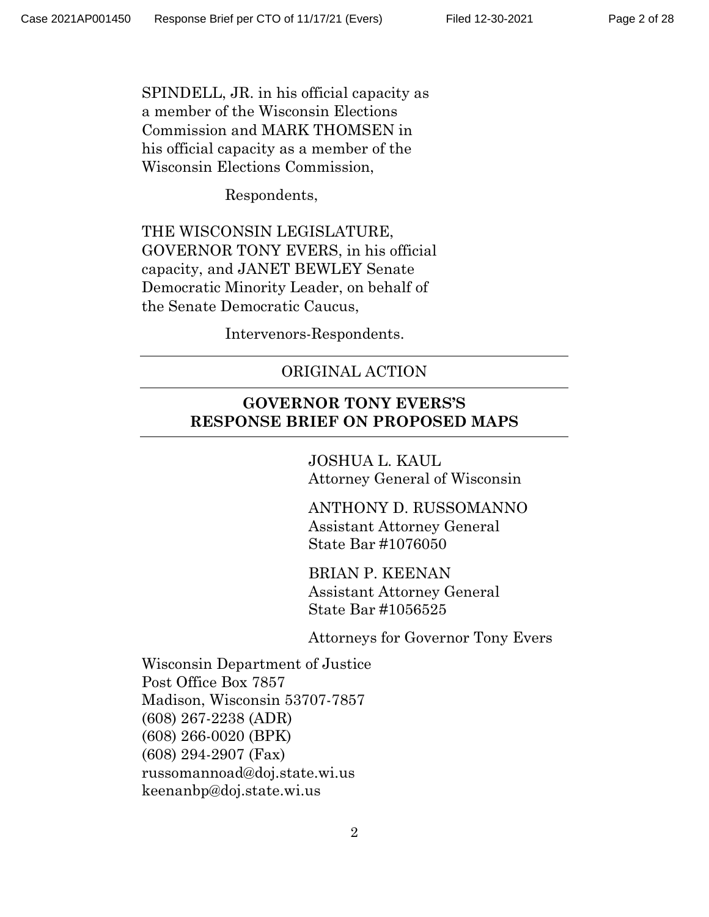SPINDELL, JR. in his official capacity as a member of the Wisconsin Elections Commission and MARK THOMSEN in his official capacity as a member of the Wisconsin Elections Commission,

Respondents,

THE WISCONSIN LEGISLATURE, GOVERNOR TONY EVERS, in his official capacity, and JANET BEWLEY Senate Democratic Minority Leader, on behalf of the Senate Democratic Caucus,

Intervenors-Respondents.

## ORIGINAL ACTION

## **GOVERNOR TONY EVERS'S RESPONSE BRIEF ON PROPOSED MAPS**

JOSHUA L. KAUL Attorney General of Wisconsin

ANTHONY D. RUSSOMANNO Assistant Attorney General State Bar #1076050

BRIAN P. KEENAN Assistant Attorney General State Bar #1056525

Attorneys for Governor Tony Evers

Wisconsin Department of Justice Post Office Box 7857 Madison, Wisconsin 53707-7857 (608) 267-2238 (ADR) (608) 266-0020 (BPK) (608) 294-2907 (Fax) russomannoad@doj.state.wi.us keenanbp@doj.state.wi.us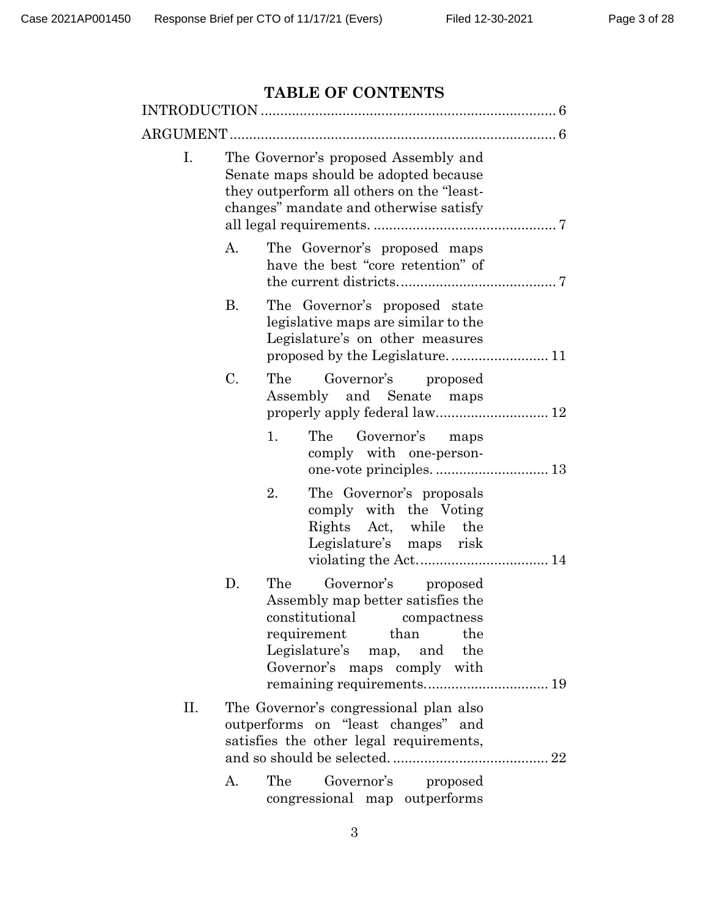# **TABLE OF CONTENTS**

| <b>TABLE OF CONTENTS</b> |                                                                                                                                                                      |                                                                                                                                                                                       |  |  |
|--------------------------|----------------------------------------------------------------------------------------------------------------------------------------------------------------------|---------------------------------------------------------------------------------------------------------------------------------------------------------------------------------------|--|--|
|                          |                                                                                                                                                                      |                                                                                                                                                                                       |  |  |
| ARGUMENT                 |                                                                                                                                                                      |                                                                                                                                                                                       |  |  |
| Ι.                       | The Governor's proposed Assembly and<br>Senate maps should be adopted because<br>they outperform all others on the "least-<br>changes" mandate and otherwise satisfy |                                                                                                                                                                                       |  |  |
|                          | А.                                                                                                                                                                   | The Governor's proposed maps<br>have the best "core retention" of                                                                                                                     |  |  |
|                          | В.                                                                                                                                                                   | The Governor's proposed state<br>legislative maps are similar to the<br>Legislature's on other measures                                                                               |  |  |
|                          | $C$ .                                                                                                                                                                | The<br>Governor's proposed<br>Assembly and Senate maps                                                                                                                                |  |  |
|                          |                                                                                                                                                                      | 1.<br>The Governor's<br>maps<br>comply with one-person-                                                                                                                               |  |  |
|                          |                                                                                                                                                                      | 2.<br>The Governor's proposals<br>comply with the Voting<br>Rights Act, while the<br>Legislature's maps risk                                                                          |  |  |
|                          | D.                                                                                                                                                                   | Governor's proposed<br>The<br>Assembly map better satisfies the<br>constitutional compactness<br>than the<br>requirement<br>Legislature's map, and the<br>Governor's maps comply with |  |  |
| П.                       |                                                                                                                                                                      | The Governor's congressional plan also<br>outperforms on "least changes" and<br>satisfies the other legal requirements,                                                               |  |  |
|                          | А.                                                                                                                                                                   | The Governor's proposed<br>congressional map outperforms                                                                                                                              |  |  |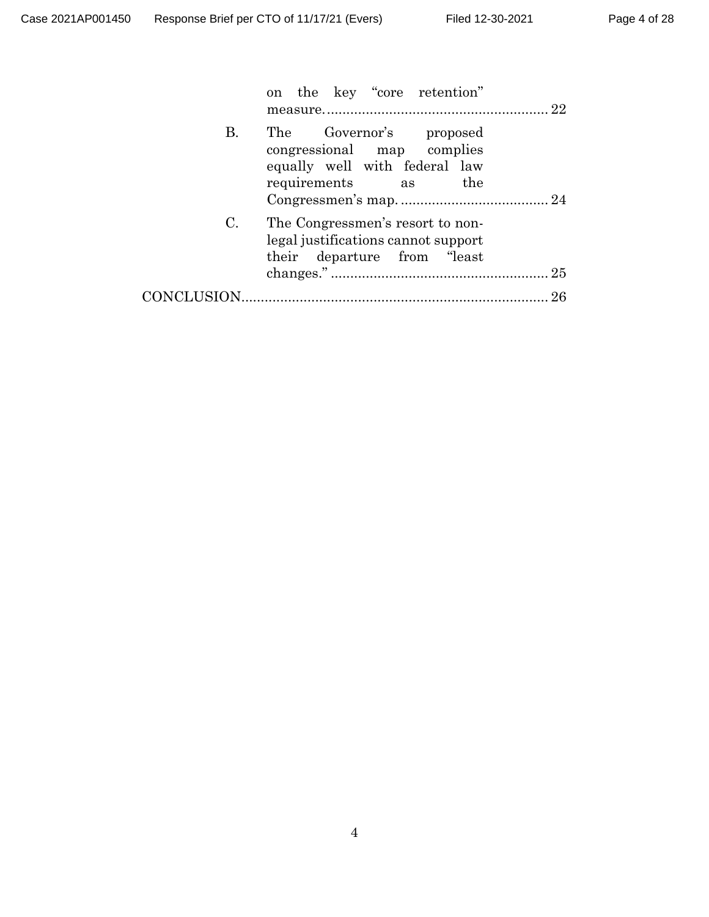| on the key "core retention"                                                                                                |
|----------------------------------------------------------------------------------------------------------------------------|
| The Governor's proposed<br><b>B.</b><br>congressional map complies<br>equally well with federal law<br>requirements as the |
| C.<br>The Congressmen's resort to non-<br>legal justifications cannot support<br>their departure from "least"              |
|                                                                                                                            |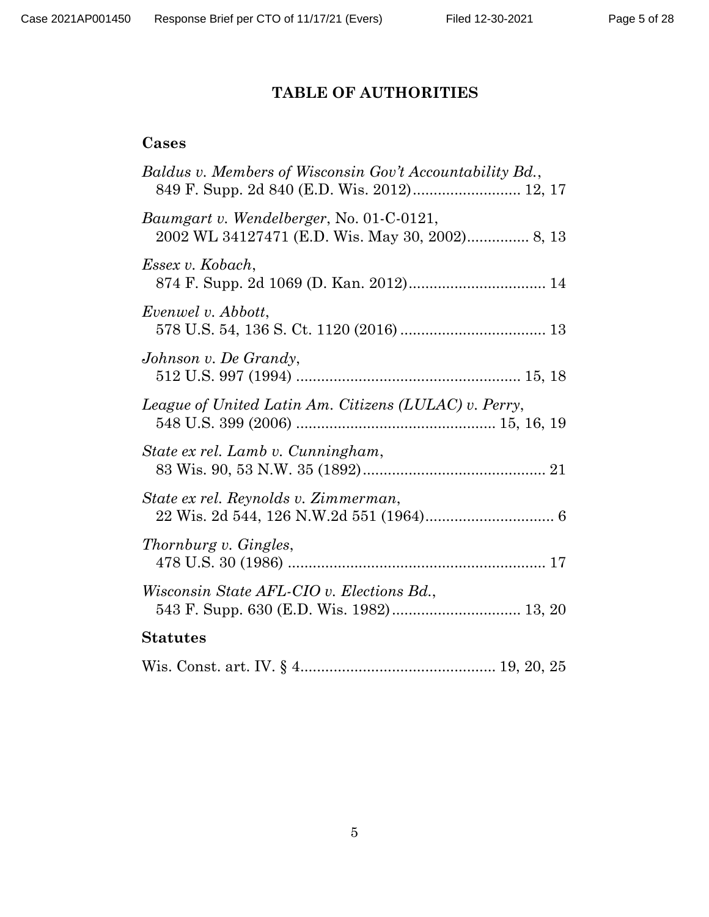# **TABLE OF AUTHORITIES**

# **Cases**

| Baldus v. Members of Wisconsin Gov't Accountability Bd.,                                           |
|----------------------------------------------------------------------------------------------------|
| <i>Baumgart v. Wendelberger, No. 01-C-0121,</i><br>2002 WL 34127471 (E.D. Wis. May 30, 2002) 8, 13 |
| Essex v. Kobach,                                                                                   |
| Evenwel v. Abbott,                                                                                 |
| Johnson v. De Grandy,                                                                              |
| League of United Latin Am. Citizens (LULAC) v. Perry,                                              |
| State ex rel. Lamb v. Cunningham,                                                                  |
| State ex rel. Reynolds v. Zimmerman,                                                               |
| Thornburg v. Gingles,                                                                              |
| Wisconsin State AFL-CIO v. Elections Bd.,                                                          |
| <b>Statutes</b>                                                                                    |
|                                                                                                    |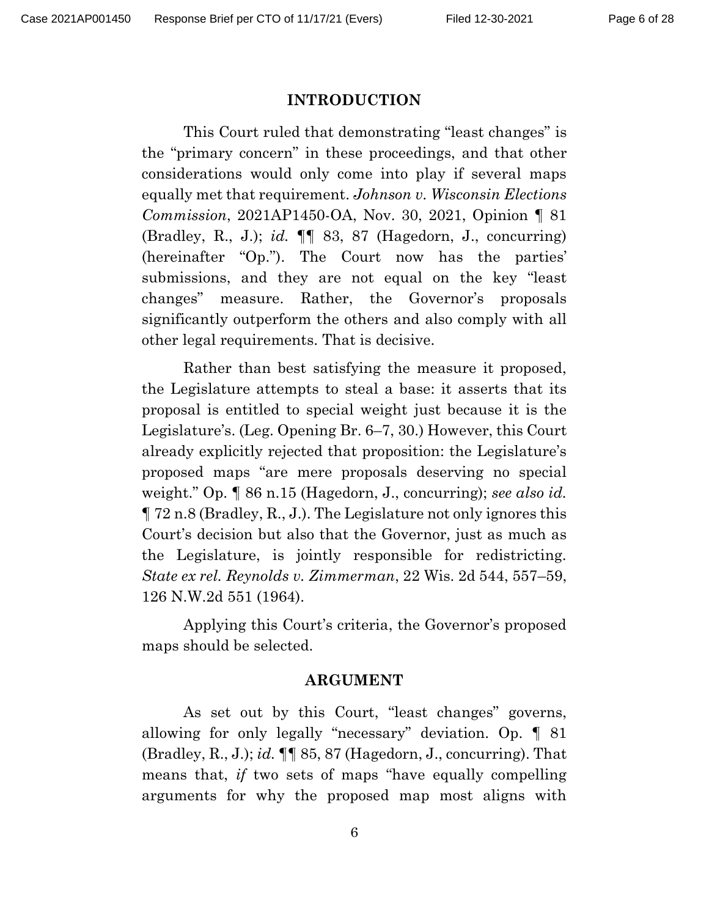#### **INTRODUCTION**

This Court ruled that demonstrating "least changes" is the "primary concern" in these proceedings, and that other considerations would only come into play if several maps equally met that requirement. *Johnson v. Wisconsin Elections Commission*, 2021AP1450-OA, Nov. 30, 2021, Opinion ¶ 81 (Bradley, R., J.); *id.* ¶¶ 83, 87 (Hagedorn, J., concurring) (hereinafter "Op."). The Court now has the parties' submissions, and they are not equal on the key "least changes" measure. Rather, the Governor's proposals significantly outperform the others and also comply with all other legal requirements. That is decisive.

Rather than best satisfying the measure it proposed, the Legislature attempts to steal a base: it asserts that its proposal is entitled to special weight just because it is the Legislature's. (Leg. Opening Br. 6–7, 30.) However, this Court already explicitly rejected that proposition: the Legislature's proposed maps "are mere proposals deserving no special weight." Op. ¶ 86 n.15 (Hagedorn, J., concurring); *see also id.* ¶ 72 n.8 (Bradley, R., J.). The Legislature not only ignores this Court's decision but also that the Governor, just as much as the Legislature, is jointly responsible for redistricting. *State ex rel. Reynolds v. Zimmerman*, 22 Wis. 2d 544, 557–59, 126 N.W.2d 551 (1964).

Applying this Court's criteria, the Governor's proposed maps should be selected.

#### **ARGUMENT**

As set out by this Court, "least changes" governs, allowing for only legally "necessary" deviation. Op. ¶ 81 (Bradley, R., J.); *id.* ¶¶ 85, 87 (Hagedorn, J., concurring). That means that, *if* two sets of maps "have equally compelling arguments for why the proposed map most aligns with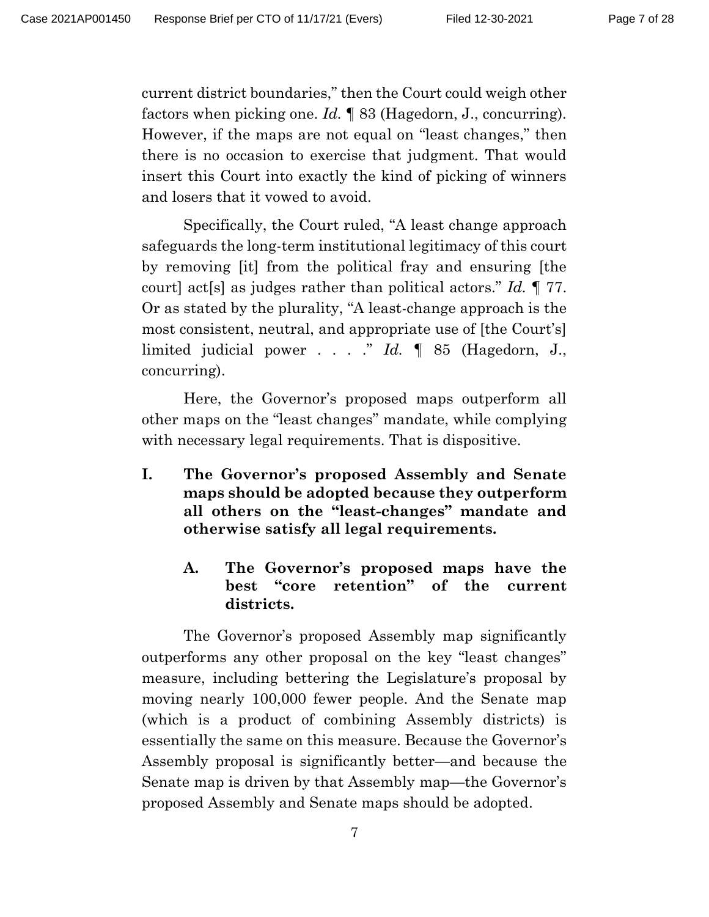current district boundaries," then the Court could weigh other factors when picking one. *Id.* ¶ 83 (Hagedorn, J., concurring). However, if the maps are not equal on "least changes," then there is no occasion to exercise that judgment. That would insert this Court into exactly the kind of picking of winners and losers that it vowed to avoid.

Specifically, the Court ruled, "A least change approach safeguards the long-term institutional legitimacy of this court by removing [it] from the political fray and ensuring [the court] act[s] as judges rather than political actors." *Id.* ¶ 77. Or as stated by the plurality, "A least-change approach is the most consistent, neutral, and appropriate use of [the Court's] limited judicial power . . . ." *Id.* ¶ 85 (Hagedorn, J., concurring).

Here, the Governor's proposed maps outperform all other maps on the "least changes" mandate, while complying with necessary legal requirements. That is dispositive.

- **I. The Governor's proposed Assembly and Senate maps should be adopted because they outperform all others on the "least-changes" mandate and otherwise satisfy all legal requirements.**
	- **A. The Governor's proposed maps have the best "core retention" of the current districts.**

The Governor's proposed Assembly map significantly outperforms any other proposal on the key "least changes" measure, including bettering the Legislature's proposal by moving nearly 100,000 fewer people. And the Senate map (which is a product of combining Assembly districts) is essentially the same on this measure. Because the Governor's Assembly proposal is significantly better—and because the Senate map is driven by that Assembly map—the Governor's proposed Assembly and Senate maps should be adopted.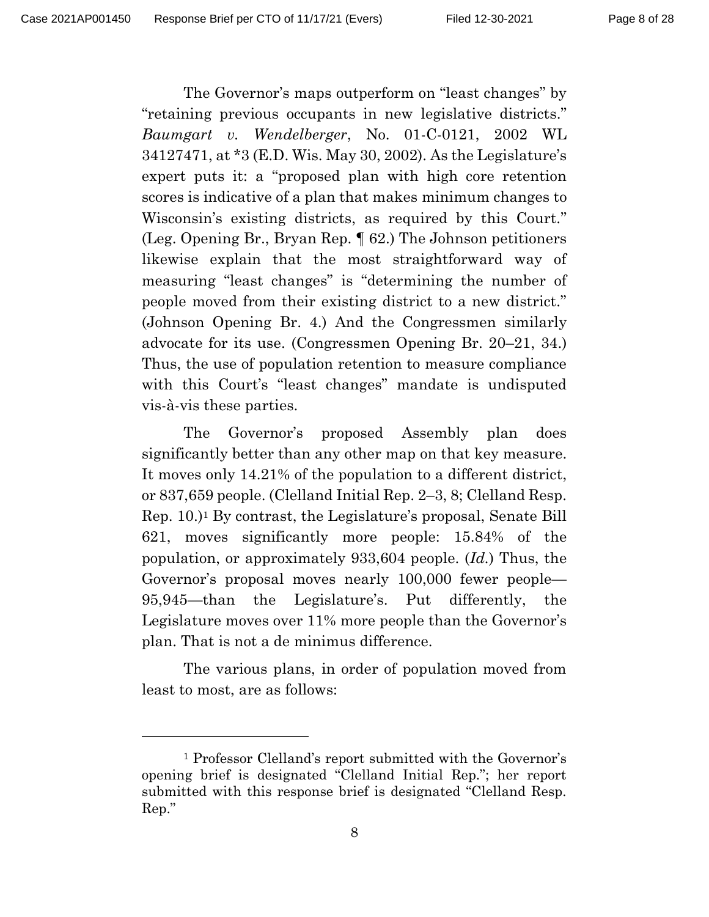The Governor's maps outperform on "least changes" by "retaining previous occupants in new legislative districts." *Baumgart v. Wendelberger*, No. 01-C-0121, 2002 WL 34127471, at \*3 (E.D. Wis. May 30, 2002). As the Legislature's expert puts it: a "proposed plan with high core retention scores is indicative of a plan that makes minimum changes to Wisconsin's existing districts, as required by this Court." (Leg. Opening Br., Bryan Rep. ¶ 62.) The Johnson petitioners likewise explain that the most straightforward way of measuring "least changes" is "determining the number of people moved from their existing district to a new district." (Johnson Opening Br. 4.) And the Congressmen similarly advocate for its use. (Congressmen Opening Br. 20–21, 34.) Thus, the use of population retention to measure compliance with this Court's "least changes" mandate is undisputed vis-à-vis these parties.

The Governor's proposed Assembly plan does significantly better than any other map on that key measure. It moves only 14.21% of the population to a different district, or 837,659 people. (Clelland Initial Rep. 2–3, 8; Clelland Resp. Rep. 10.)<sup>1</sup> By contrast, the Legislature's proposal, Senate Bill 621, moves significantly more people: 15.84% of the population, or approximately 933,604 people. (*Id.*) Thus, the Governor's proposal moves nearly 100,000 fewer people— 95,945—than the Legislature's. Put differently, the Legislature moves over 11% more people than the Governor's plan. That is not a de minimus difference.

The various plans, in order of population moved from least to most, are as follows:

<sup>1</sup> Professor Clelland's report submitted with the Governor's opening brief is designated "Clelland Initial Rep."; her report submitted with this response brief is designated "Clelland Resp. Rep."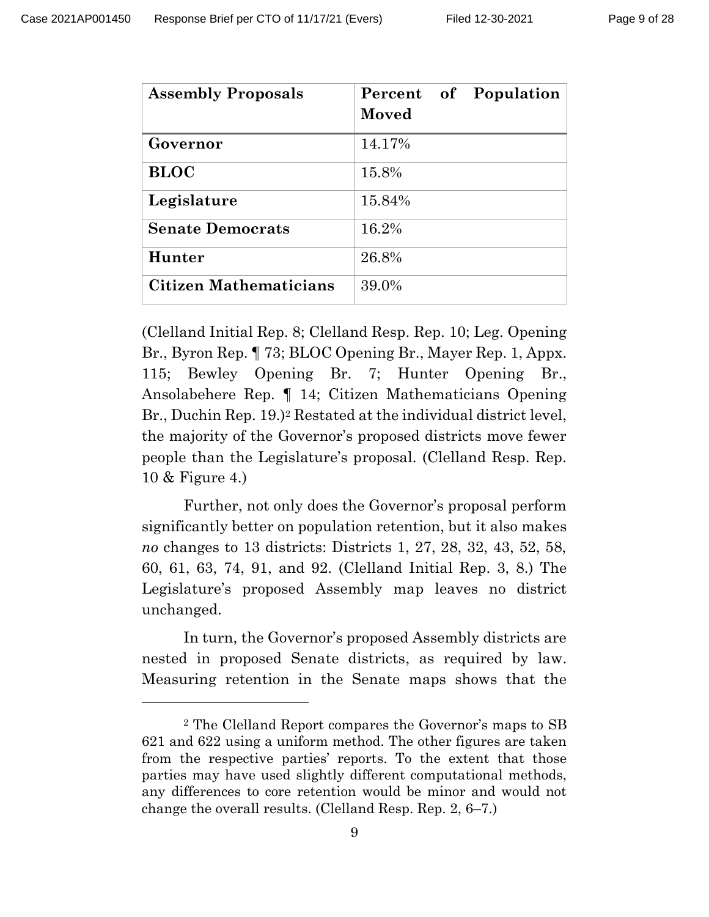| <b>Assembly Proposals</b>     | Percent of Population<br>Moved |
|-------------------------------|--------------------------------|
| Governor                      | 14.17%                         |
| <b>BLOC</b>                   | 15.8%                          |
| Legislature                   | 15.84%                         |
| <b>Senate Democrats</b>       | 16.2%                          |
| Hunter                        | 26.8%                          |
| <b>Citizen Mathematicians</b> | 39.0%                          |

(Clelland Initial Rep. 8; Clelland Resp. Rep. 10; Leg. Opening Br., Byron Rep. ¶ 73; BLOC Opening Br., Mayer Rep. 1, Appx. 115; Bewley Opening Br. 7; Hunter Opening Br., Ansolabehere Rep. ¶ 14; Citizen Mathematicians Opening Br., Duchin Rep. 19.) <sup>2</sup> Restated at the individual district level, the majority of the Governor's proposed districts move fewer people than the Legislature's proposal. (Clelland Resp. Rep. 10 & Figure 4.)

Further, not only does the Governor's proposal perform significantly better on population retention, but it also makes *no* changes to 13 districts: Districts 1, 27, 28, 32, 43, 52, 58, 60, 61, 63, 74, 91, and 92. (Clelland Initial Rep. 3, 8.) The Legislature's proposed Assembly map leaves no district unchanged.

In turn, the Governor's proposed Assembly districts are nested in proposed Senate districts, as required by law. Measuring retention in the Senate maps shows that the

<sup>2</sup> The Clelland Report compares the Governor's maps to SB 621 and 622 using a uniform method. The other figures are taken from the respective parties' reports. To the extent that those parties may have used slightly different computational methods, any differences to core retention would be minor and would not change the overall results. (Clelland Resp. Rep. 2, 6–7.)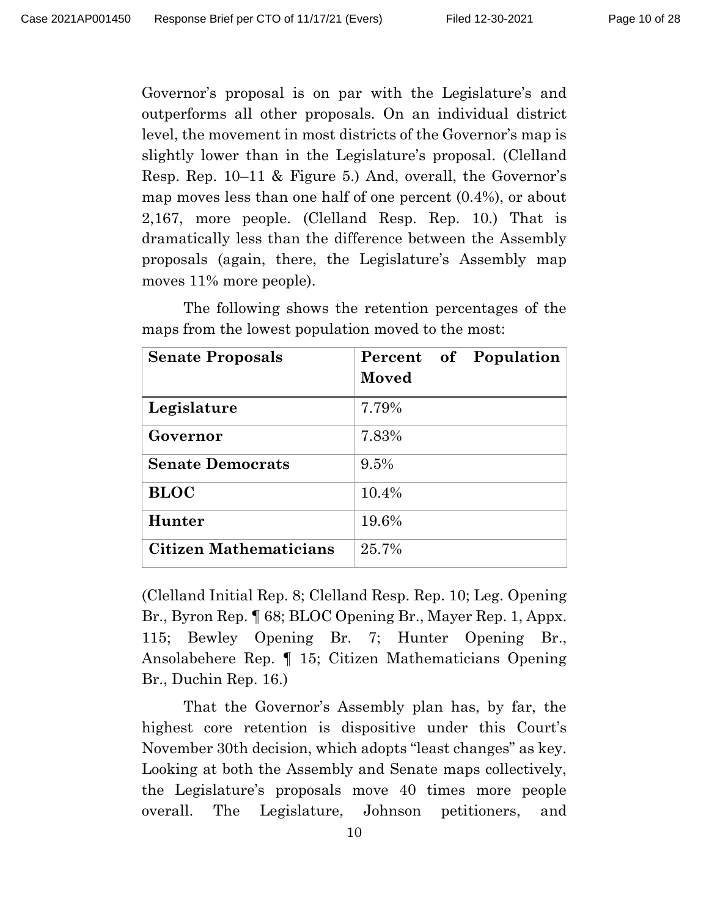Governor's proposal is on par with the Legislature's and outperforms all other proposals. On an individual district level, the movement in most districts of the Governor's map is slightly lower than in the Legislature's proposal. (Clelland Resp. Rep. 10–11 & Figure 5.) And, overall, the Governor's map moves less than one half of one percent (0.4%), or about 2,167, more people. (Clelland Resp. Rep. 10.) That is dramatically less than the difference between the Assembly proposals (again, there, the Legislature's Assembly map moves 11% more people).

| <b>Senate Proposals</b>       | Percent of Population<br>Moved |
|-------------------------------|--------------------------------|
| Legislature                   | 7.79%                          |
| Governor                      | 7.83%                          |
| <b>Senate Democrats</b>       | 9.5%                           |
| <b>BLOC</b>                   | 10.4%                          |
| Hunter                        | 19.6%                          |
| <b>Citizen Mathematicians</b> | 25.7%                          |

The following shows the retention percentages of the maps from the lowest population moved to the most:

(Clelland Initial Rep. 8; Clelland Resp. Rep. 10; Leg. Opening Br., Byron Rep. ¶ 68; BLOC Opening Br., Mayer Rep. 1, Appx. 115; Bewley Opening Br. 7; Hunter Opening Br., Ansolabehere Rep. ¶ 15; Citizen Mathematicians Opening Br., Duchin Rep. 16.)

That the Governor's Assembly plan has, by far, the highest core retention is dispositive under this Court's November 30th decision, which adopts "least changes" as key. Looking at both the Assembly and Senate maps collectively, the Legislature's proposals move 40 times more people overall. The Legislature, Johnson petitioners, and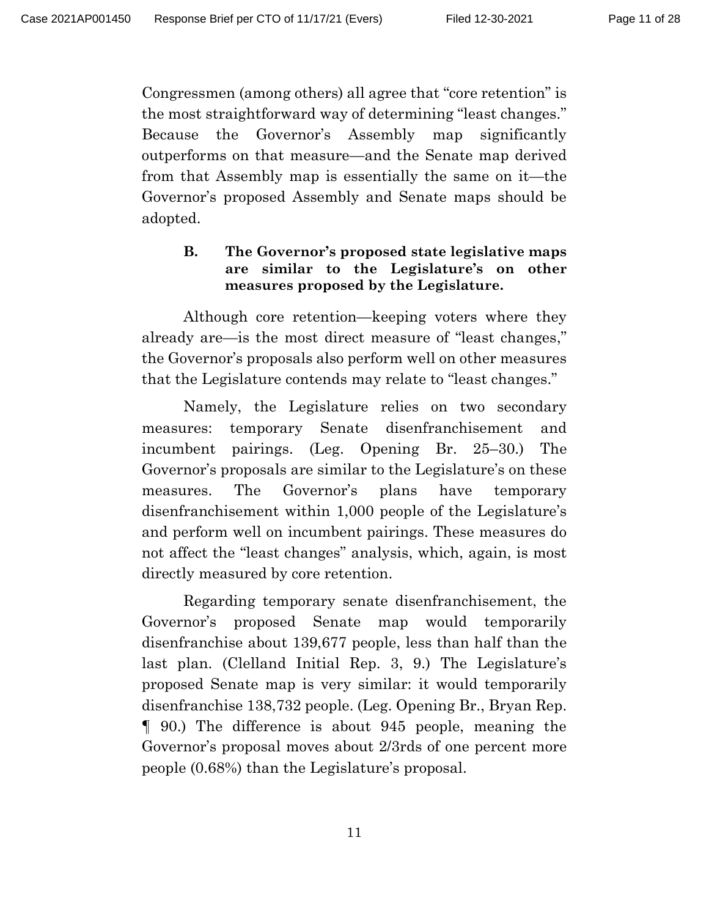Congressmen (among others) all agree that "core retention" is the most straightforward way of determining "least changes." Because the Governor's Assembly map significantly outperforms on that measure—and the Senate map derived from that Assembly map is essentially the same on it—the Governor's proposed Assembly and Senate maps should be adopted.

## **B. The Governor's proposed state legislative maps are similar to the Legislature's on other measures proposed by the Legislature.**

Although core retention—keeping voters where they already are—is the most direct measure of "least changes," the Governor's proposals also perform well on other measures that the Legislature contends may relate to "least changes."

Namely, the Legislature relies on two secondary measures: temporary Senate disenfranchisement and incumbent pairings. (Leg. Opening Br. 25–30.) The Governor's proposals are similar to the Legislature's on these measures. The Governor's plans have temporary disenfranchisement within 1,000 people of the Legislature's and perform well on incumbent pairings. These measures do not affect the "least changes" analysis, which, again, is most directly measured by core retention.

Regarding temporary senate disenfranchisement, the Governor's proposed Senate map would temporarily disenfranchise about 139,677 people, less than half than the last plan. (Clelland Initial Rep. 3, 9.) The Legislature's proposed Senate map is very similar: it would temporarily disenfranchise 138,732 people. (Leg. Opening Br., Bryan Rep. ¶ 90.) The difference is about 945 people, meaning the Governor's proposal moves about 2/3rds of one percent more people (0.68%) than the Legislature's proposal.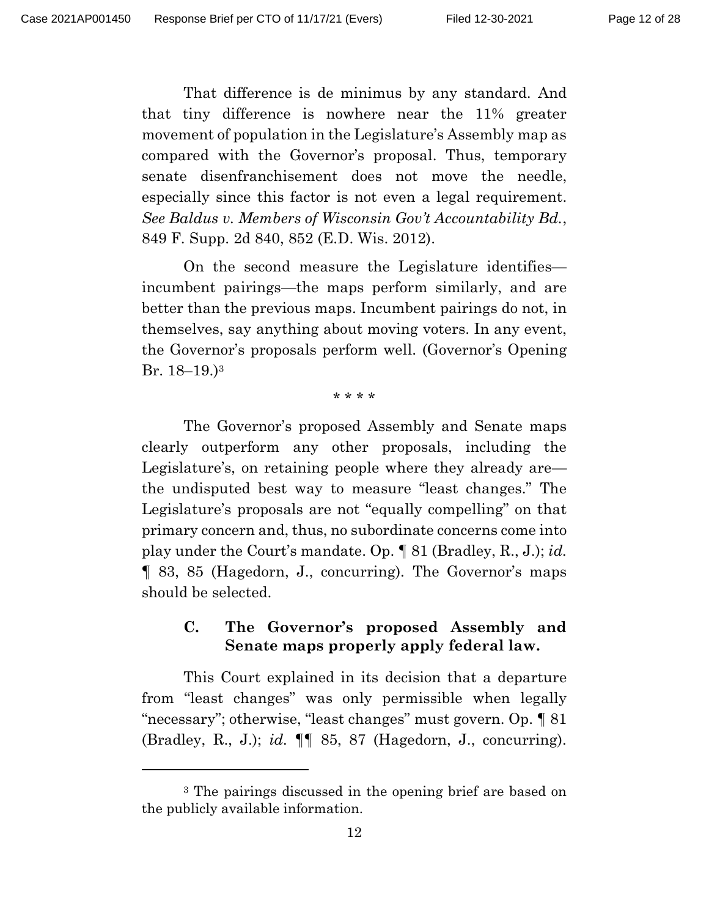That difference is de minimus by any standard. And that tiny difference is nowhere near the 11% greater movement of population in the Legislature's Assembly map as compared with the Governor's proposal. Thus, temporary senate disenfranchisement does not move the needle, especially since this factor is not even a legal requirement. *See Baldus v. Members of Wisconsin Gov't Accountability Bd.*, 849 F. Supp. 2d 840, 852 (E.D. Wis. 2012).

On the second measure the Legislature identifies incumbent pairings—the maps perform similarly, and are better than the previous maps. Incumbent pairings do not, in themselves, say anything about moving voters. In any event, the Governor's proposals perform well. (Governor's Opening Br. 18–19.)<sup>3</sup>

\* \* \* \*

The Governor's proposed Assembly and Senate maps clearly outperform any other proposals, including the Legislature's, on retaining people where they already are the undisputed best way to measure "least changes." The Legislature's proposals are not "equally compelling" on that primary concern and, thus, no subordinate concerns come into play under the Court's mandate. Op. ¶ 81 (Bradley, R., J.); *id.* ¶ 83, 85 (Hagedorn, J., concurring). The Governor's maps should be selected.

## **C. The Governor's proposed Assembly and Senate maps properly apply federal law.**

This Court explained in its decision that a departure from "least changes" was only permissible when legally "necessary"; otherwise, "least changes" must govern. Op. ¶ 81 (Bradley, R., J.); *id.* ¶¶ 85, 87 (Hagedorn, J., concurring).

<sup>3</sup> The pairings discussed in the opening brief are based on the publicly available information.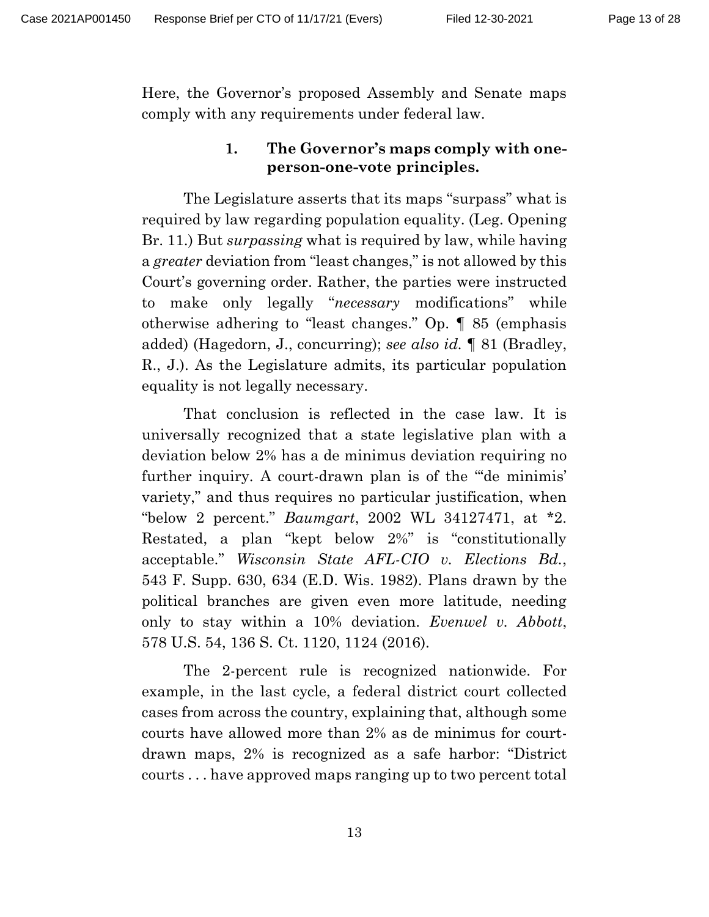Here, the Governor's proposed Assembly and Senate maps comply with any requirements under federal law.

## **1. The Governor's maps comply with oneperson-one-vote principles.**

The Legislature asserts that its maps "surpass" what is required by law regarding population equality. (Leg. Opening Br. 11.) But *surpassing* what is required by law, while having a *greater* deviation from "least changes," is not allowed by this Court's governing order. Rather, the parties were instructed to make only legally "*necessary* modifications" while otherwise adhering to "least changes." Op. ¶ 85 (emphasis added) (Hagedorn, J., concurring); *see also id.* ¶ 81 (Bradley, R., J.). As the Legislature admits, its particular population equality is not legally necessary.

That conclusion is reflected in the case law. It is universally recognized that a state legislative plan with a deviation below 2% has a de minimus deviation requiring no further inquiry. A court-drawn plan is of the ""de minimis" variety," and thus requires no particular justification, when "below 2 percent." *Baumgart*, 2002 WL 34127471, at \*2. Restated, a plan "kept below 2%" is "constitutionally acceptable." *Wisconsin State AFL-CIO v. Elections Bd.*, 543 F. Supp. 630, 634 (E.D. Wis. 1982). Plans drawn by the political branches are given even more latitude, needing only to stay within a 10% deviation. *Evenwel v. Abbott*, 578 U.S. 54, 136 S. Ct. 1120, 1124 (2016).

The 2-percent rule is recognized nationwide. For example, in the last cycle, a federal district court collected cases from across the country, explaining that, although some courts have allowed more than 2% as de minimus for courtdrawn maps, 2% is recognized as a safe harbor: "District courts . . . have approved maps ranging up to two percent total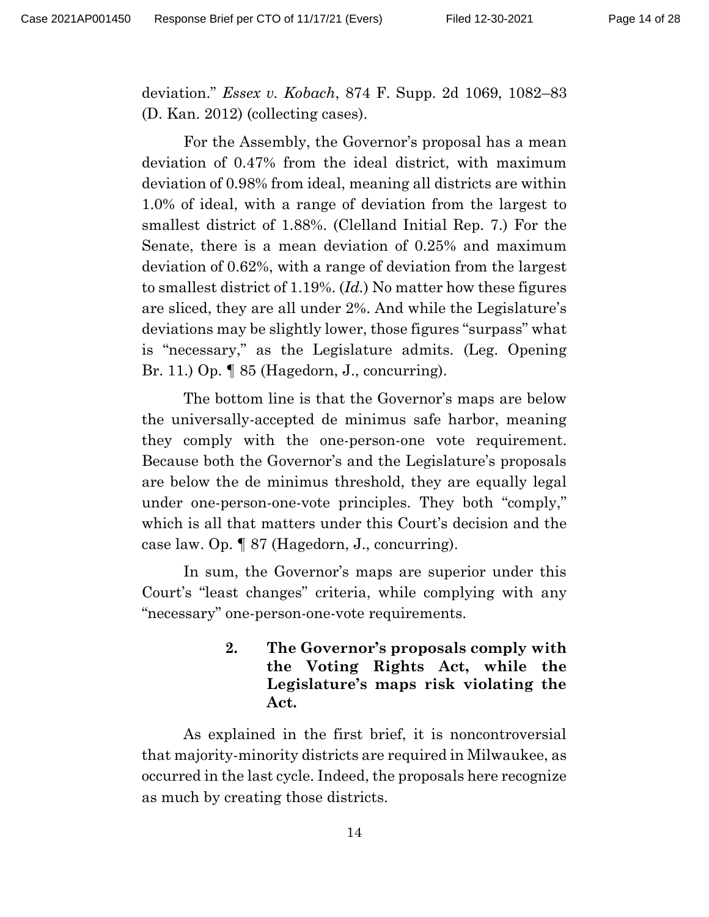deviation." *Essex v. Kobach*, 874 F. Supp. 2d 1069, 1082–83 (D. Kan. 2012) (collecting cases).

For the Assembly, the Governor's proposal has a mean deviation of 0.47% from the ideal district, with maximum deviation of 0.98% from ideal, meaning all districts are within 1.0% of ideal, with a range of deviation from the largest to smallest district of 1.88%. (Clelland Initial Rep. 7.) For the Senate, there is a mean deviation of 0.25% and maximum deviation of 0.62%, with a range of deviation from the largest to smallest district of 1.19%. (*Id.*) No matter how these figures are sliced, they are all under 2%. And while the Legislature's deviations may be slightly lower, those figures "surpass" what is "necessary," as the Legislature admits. (Leg. Opening Br. 11.) Op. ¶ 85 (Hagedorn, J., concurring).

The bottom line is that the Governor's maps are below the universally-accepted de minimus safe harbor, meaning they comply with the one-person-one vote requirement. Because both the Governor's and the Legislature's proposals are below the de minimus threshold, they are equally legal under one-person-one-vote principles. They both "comply," which is all that matters under this Court's decision and the case law. Op. ¶ 87 (Hagedorn, J., concurring).

In sum, the Governor's maps are superior under this Court's "least changes" criteria, while complying with any "necessary" one-person-one-vote requirements.

> **2. The Governor's proposals comply with the Voting Rights Act, while the Legislature's maps risk violating the Act.**

As explained in the first brief, it is noncontroversial that majority-minority districts are required in Milwaukee, as occurred in the last cycle. Indeed, the proposals here recognize as much by creating those districts.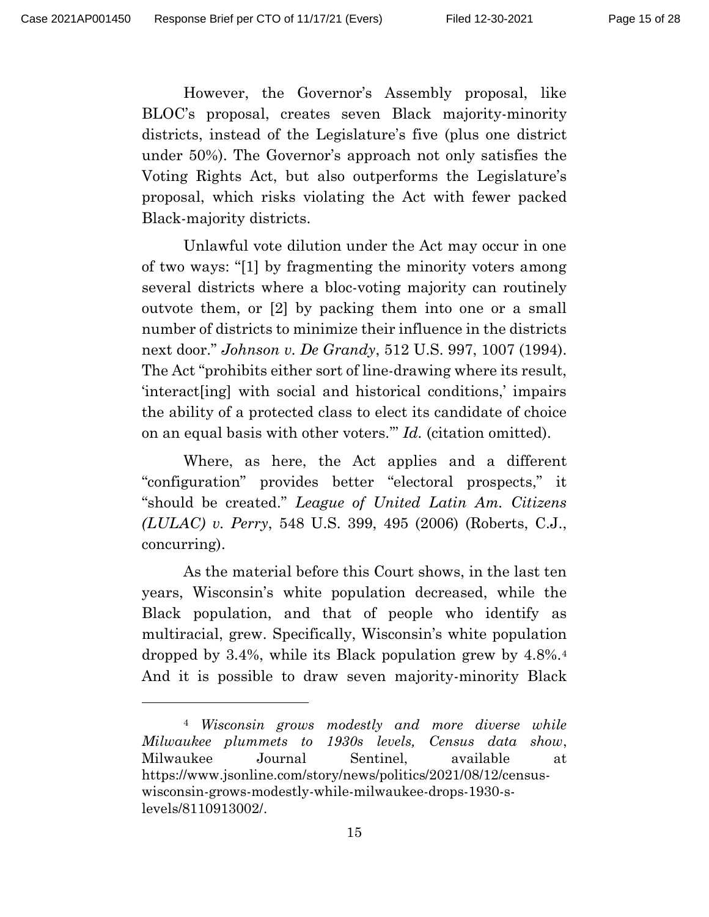However, the Governor's Assembly proposal, like BLOC's proposal, creates seven Black majority-minority districts, instead of the Legislature's five (plus one district under 50%). The Governor's approach not only satisfies the Voting Rights Act, but also outperforms the Legislature's proposal, which risks violating the Act with fewer packed Black-majority districts.

Unlawful vote dilution under the Act may occur in one of two ways: "[1] by fragmenting the minority voters among several districts where a bloc-voting majority can routinely outvote them, or [2] by packing them into one or a small number of districts to minimize their influence in the districts next door." *Johnson v. De Grandy*, 512 U.S. 997, 1007 (1994). The Act "prohibits either sort of line-drawing where its result, 'interact[ing] with social and historical conditions,' impairs the ability of a protected class to elect its candidate of choice on an equal basis with other voters.'" *Id.* (citation omitted).

Where, as here, the Act applies and a different "configuration" provides better "electoral prospects," it "should be created." *League of United Latin Am. Citizens (LULAC) v. Perry*, 548 U.S. 399, 495 (2006) (Roberts, C.J., concurring).

As the material before this Court shows, in the last ten years, Wisconsin's white population decreased, while the Black population, and that of people who identify as multiracial, grew. Specifically, Wisconsin's white population dropped by 3.4%, while its Black population grew by 4.8%.<sup>4</sup> And it is possible to draw seven majority-minority Black

<sup>4</sup> *Wisconsin grows modestly and more diverse while Milwaukee plummets to 1930s levels, Census data show*, Milwaukee Journal Sentinel, available at https://www.jsonline.com/story/news/politics/2021/08/12/censuswisconsin-grows-modestly-while-milwaukee-drops-1930-slevels/8110913002/.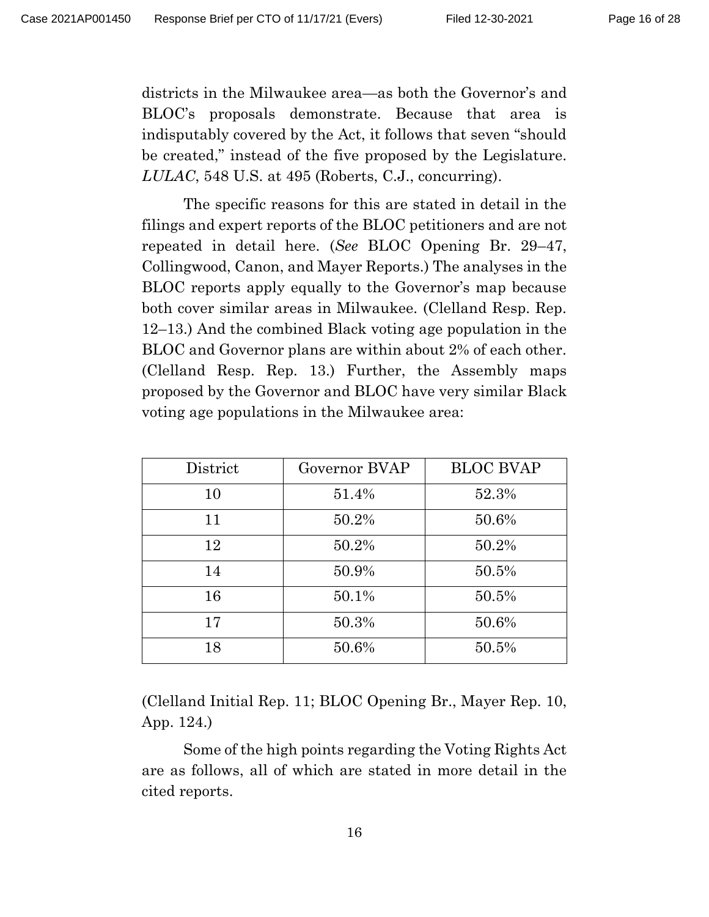districts in the Milwaukee area—as both the Governor's and BLOC's proposals demonstrate. Because that area is indisputably covered by the Act, it follows that seven "should be created," instead of the five proposed by the Legislature. *LULAC*, 548 U.S. at 495 (Roberts, C.J., concurring).

The specific reasons for this are stated in detail in the filings and expert reports of the BLOC petitioners and are not repeated in detail here. (*See* BLOC Opening Br. 29–47, Collingwood, Canon, and Mayer Reports.) The analyses in the BLOC reports apply equally to the Governor's map because both cover similar areas in Milwaukee. (Clelland Resp. Rep. 12–13.) And the combined Black voting age population in the BLOC and Governor plans are within about 2% of each other. (Clelland Resp. Rep. 13.) Further, the Assembly maps proposed by the Governor and BLOC have very similar Black voting age populations in the Milwaukee area:

| District | Governor BVAP | <b>BLOC BVAP</b> |
|----------|---------------|------------------|
| 10       | 51.4%         | 52.3%            |
| 11       | 50.2%         | 50.6%            |
| 12       | 50.2%         | 50.2%            |
| 14       | 50.9%         | 50.5%            |
| 16       | 50.1%         | 50.5%            |
| 17       | 50.3%         | 50.6%            |
| 18       | 50.6%         | 50.5%            |

(Clelland Initial Rep. 11; BLOC Opening Br., Mayer Rep. 10, App. 124.)

Some of the high points regarding the Voting Rights Act are as follows, all of which are stated in more detail in the cited reports.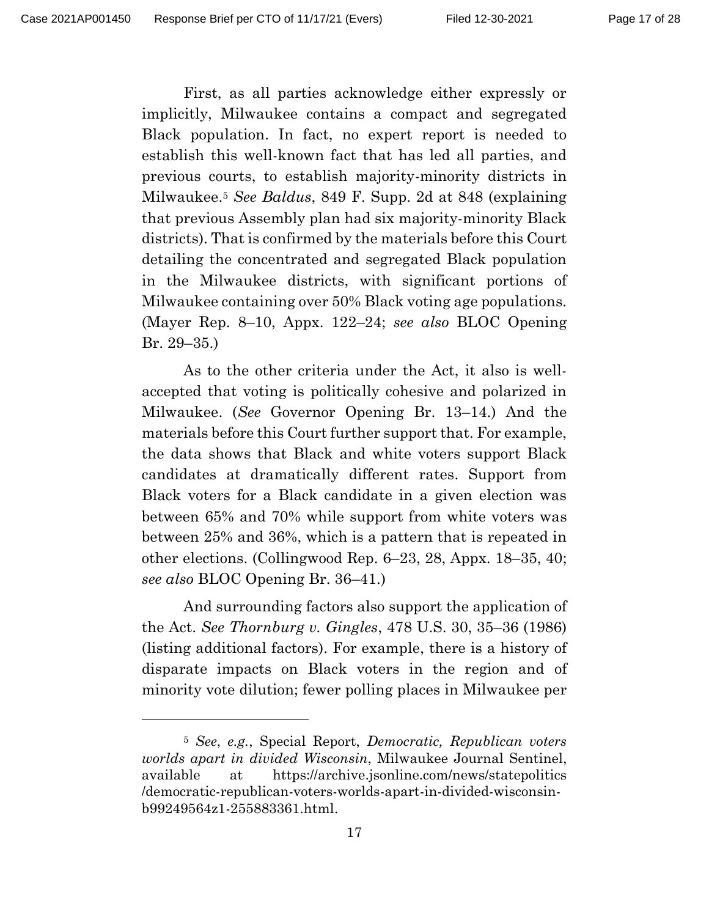First, as all parties acknowledge either expressly or implicitly, Milwaukee contains a compact and segregated Black population. In fact, no expert report is needed to establish this well-known fact that has led all parties, and previous courts, to establish majority-minority districts in Milwaukee.<sup>5</sup> *See Baldus*, 849 F. Supp. 2d at 848 (explaining that previous Assembly plan had six majority-minority Black districts). That is confirmed by the materials before this Court detailing the concentrated and segregated Black population in the Milwaukee districts, with significant portions of Milwaukee containing over 50% Black voting age populations. (Mayer Rep. 8–10, Appx. 122–24; *see also* BLOC Opening Br. 29–35.)

As to the other criteria under the Act, it also is wellaccepted that voting is politically cohesive and polarized in Milwaukee. (*See* Governor Opening Br. 13–14.) And the materials before this Court further support that. For example, the data shows that Black and white voters support Black candidates at dramatically different rates. Support from Black voters for a Black candidate in a given election was between 65% and 70% while support from white voters was between 25% and 36%, which is a pattern that is repeated in other elections. (Collingwood Rep. 6–23, 28, Appx. 18–35, 40; *see also* BLOC Opening Br. 36–41.)

And surrounding factors also support the application of the Act. *See Thornburg v. Gingles*, 478 U.S. 30, 35–36 (1986) (listing additional factors). For example, there is a history of disparate impacts on Black voters in the region and of minority vote dilution; fewer polling places in Milwaukee per

<sup>5</sup> *See*, *e.g.*, Special Report, *Democratic, Republican voters worlds apart in divided Wisconsin*, Milwaukee Journal Sentinel, available at https://archive.jsonline.com/news/statepolitics /democratic-republican-voters-worlds-apart-in-divided-wisconsinb99249564z1-255883361.html.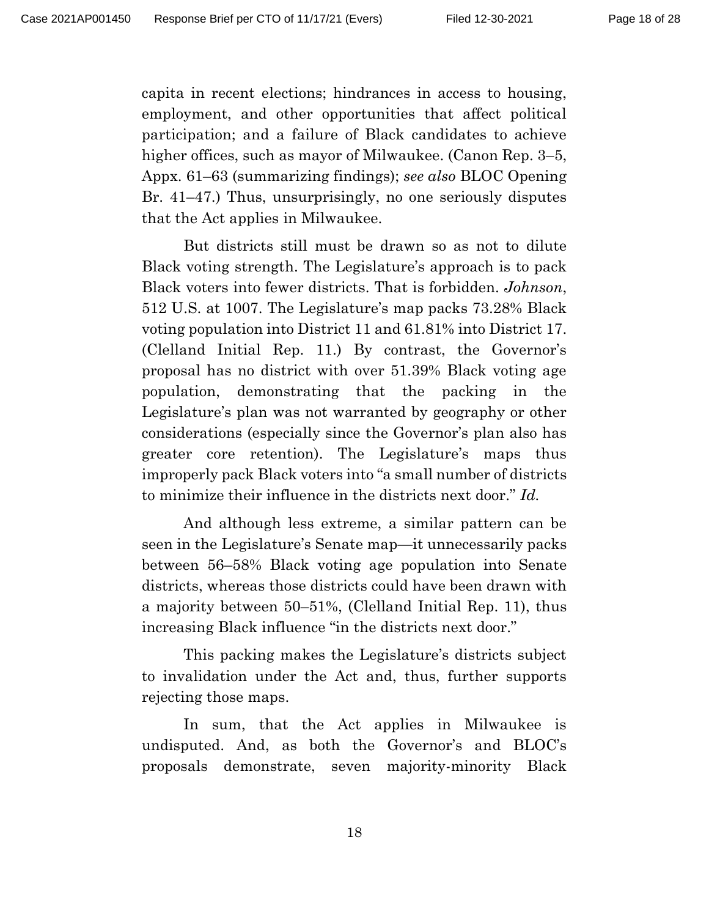capita in recent elections; hindrances in access to housing, employment, and other opportunities that affect political participation; and a failure of Black candidates to achieve higher offices, such as mayor of Milwaukee. (Canon Rep. 3–5, Appx. 61–63 (summarizing findings); *see also* BLOC Opening Br. 41–47.) Thus, unsurprisingly, no one seriously disputes that the Act applies in Milwaukee.

But districts still must be drawn so as not to dilute Black voting strength. The Legislature's approach is to pack Black voters into fewer districts. That is forbidden. *Johnson*, 512 U.S. at 1007. The Legislature's map packs 73.28% Black voting population into District 11 and 61.81% into District 17. (Clelland Initial Rep. 11.) By contrast, the Governor's proposal has no district with over 51.39% Black voting age population, demonstrating that the packing in the Legislature's plan was not warranted by geography or other considerations (especially since the Governor's plan also has greater core retention). The Legislature's maps thus improperly pack Black voters into "a small number of districts to minimize their influence in the districts next door." *Id.*

And although less extreme, a similar pattern can be seen in the Legislature's Senate map—it unnecessarily packs between 56–58% Black voting age population into Senate districts, whereas those districts could have been drawn with a majority between 50–51%, (Clelland Initial Rep. 11), thus increasing Black influence "in the districts next door."

This packing makes the Legislature's districts subject to invalidation under the Act and, thus, further supports rejecting those maps.

In sum, that the Act applies in Milwaukee is undisputed. And, as both the Governor's and BLOC's proposals demonstrate, seven majority-minority Black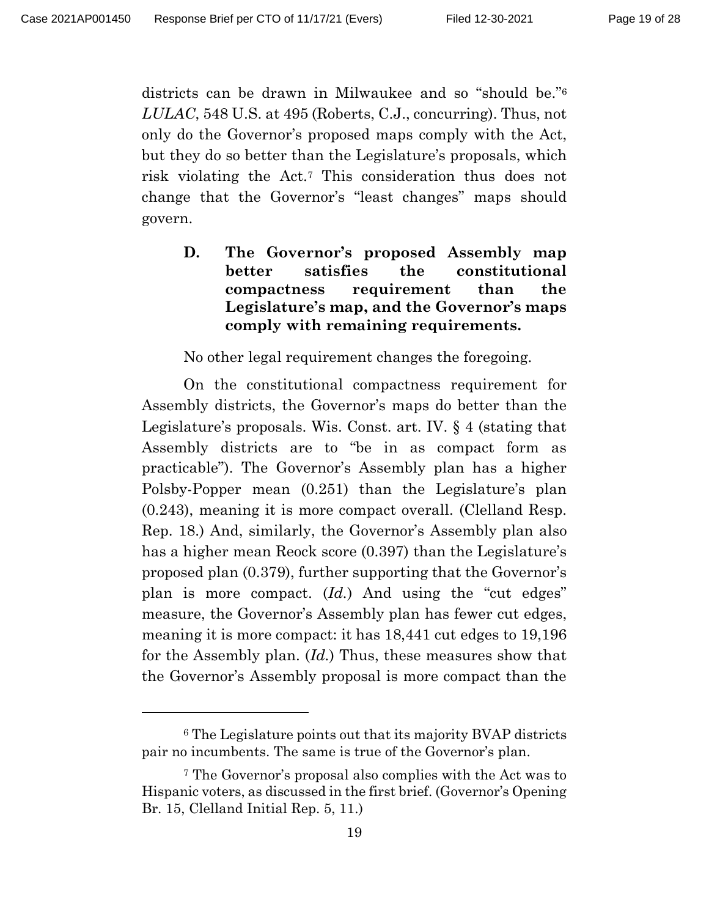districts can be drawn in Milwaukee and so "should be." 6 *LULAC*, 548 U.S. at 495 (Roberts, C.J., concurring). Thus, not only do the Governor's proposed maps comply with the Act, but they do so better than the Legislature's proposals, which risk violating the Act. <sup>7</sup> This consideration thus does not change that the Governor's "least changes" maps should govern.

**D. The Governor's proposed Assembly map better satisfies the constitutional compactness requirement than the Legislature's map, and the Governor's maps comply with remaining requirements.**

No other legal requirement changes the foregoing.

On the constitutional compactness requirement for Assembly districts, the Governor's maps do better than the Legislature's proposals. Wis. Const. art. IV. § 4 (stating that Assembly districts are to "be in as compact form as practicable"). The Governor's Assembly plan has a higher Polsby-Popper mean (0.251) than the Legislature's plan (0.243), meaning it is more compact overall. (Clelland Resp. Rep. 18.) And, similarly, the Governor's Assembly plan also has a higher mean Reock score (0.397) than the Legislature's proposed plan (0.379), further supporting that the Governor's plan is more compact. (*Id.*) And using the "cut edges" measure, the Governor's Assembly plan has fewer cut edges, meaning it is more compact: it has 18,441 cut edges to 19,196 for the Assembly plan. (*Id.*) Thus, these measures show that the Governor's Assembly proposal is more compact than the

<sup>6</sup> The Legislature points out that its majority BVAP districts pair no incumbents. The same is true of the Governor's plan.

<sup>7</sup> The Governor's proposal also complies with the Act was to Hispanic voters, as discussed in the first brief. (Governor's Opening Br. 15, Clelland Initial Rep. 5, 11.)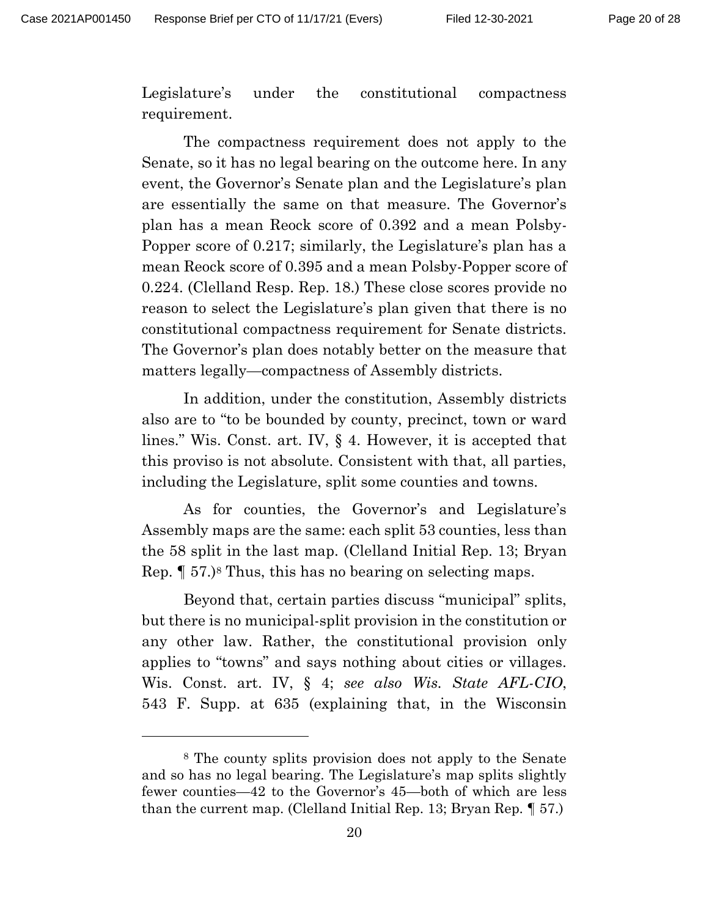Legislature's under the constitutional compactness requirement.

The compactness requirement does not apply to the Senate, so it has no legal bearing on the outcome here. In any event, the Governor's Senate plan and the Legislature's plan are essentially the same on that measure. The Governor's plan has a mean Reock score of 0.392 and a mean Polsby-Popper score of 0.217; similarly, the Legislature's plan has a mean Reock score of 0.395 and a mean Polsby-Popper score of 0.224. (Clelland Resp. Rep. 18.) These close scores provide no reason to select the Legislature's plan given that there is no constitutional compactness requirement for Senate districts. The Governor's plan does notably better on the measure that matters legally—compactness of Assembly districts.

In addition, under the constitution, Assembly districts also are to "to be bounded by county, precinct, town or ward lines." Wis. Const. art. IV, § 4. However, it is accepted that this proviso is not absolute. Consistent with that, all parties, including the Legislature, split some counties and towns.

As for counties, the Governor's and Legislature's Assembly maps are the same: each split 53 counties, less than the 58 split in the last map. (Clelland Initial Rep. 13; Bryan Rep. ¶ 57.) <sup>8</sup> Thus, this has no bearing on selecting maps.

Beyond that, certain parties discuss "municipal" splits, but there is no municipal-split provision in the constitution or any other law. Rather, the constitutional provision only applies to "towns" and says nothing about cities or villages. Wis. Const. art. IV, § 4; *see also Wis. State AFL-CIO*, 543 F. Supp. at 635 (explaining that, in the Wisconsin

<sup>8</sup> The county splits provision does not apply to the Senate and so has no legal bearing. The Legislature's map splits slightly fewer counties—42 to the Governor's 45—both of which are less than the current map. (Clelland Initial Rep. 13; Bryan Rep. ¶ 57.)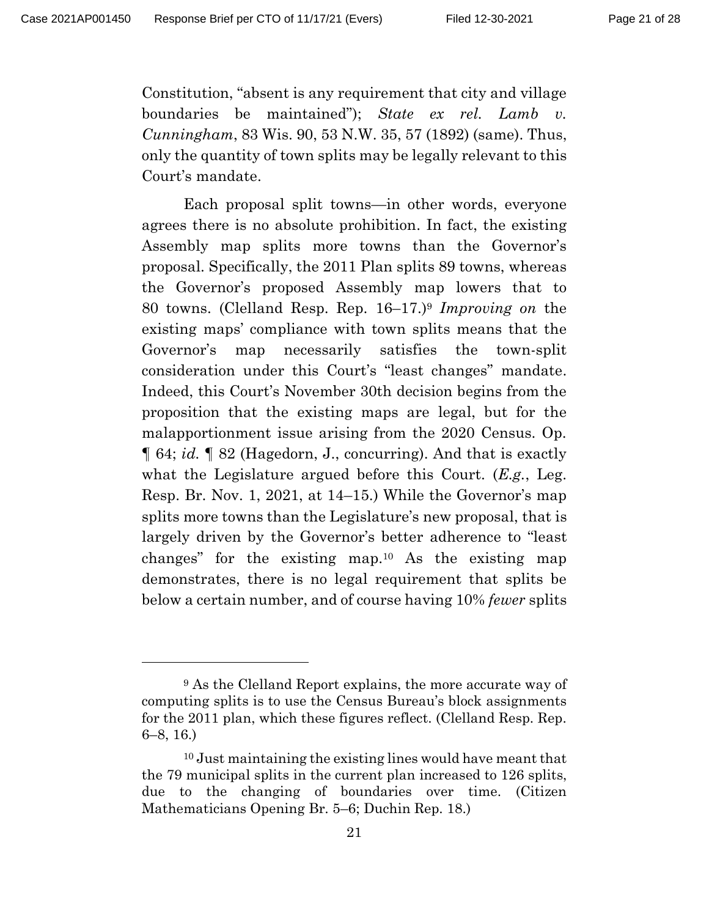Constitution, "absent is any requirement that city and village boundaries be maintained"); *State ex rel. Lamb v. Cunningham*, 83 Wis. 90, 53 N.W. 35, 57 (1892) (same). Thus, only the quantity of town splits may be legally relevant to this Court's mandate.

Each proposal split towns—in other words, everyone agrees there is no absolute prohibition. In fact, the existing Assembly map splits more towns than the Governor's proposal. Specifically, the 2011 Plan splits 89 towns, whereas the Governor's proposed Assembly map lowers that to 80 towns. (Clelland Resp. Rep. 16–17.) <sup>9</sup> *Improving on* the existing maps' compliance with town splits means that the Governor's map necessarily satisfies the town-split consideration under this Court's "least changes" mandate. Indeed, this Court's November 30th decision begins from the proposition that the existing maps are legal, but for the malapportionment issue arising from the 2020 Census. Op. ¶ 64; *id.* ¶ 82 (Hagedorn, J., concurring). And that is exactly what the Legislature argued before this Court. (*E.g.*, Leg. Resp. Br. Nov. 1, 2021, at 14–15.) While the Governor's map splits more towns than the Legislature's new proposal, that is largely driven by the Governor's better adherence to "least changes" for the existing map.<sup>10</sup> As the existing map demonstrates, there is no legal requirement that splits be below a certain number, and of course having 10% *fewer* splits

<sup>9</sup> As the Clelland Report explains, the more accurate way of computing splits is to use the Census Bureau's block assignments for the 2011 plan, which these figures reflect. (Clelland Resp. Rep. 6–8, 16.)

<sup>10</sup> Just maintaining the existing lines would have meant that the 79 municipal splits in the current plan increased to 126 splits, due to the changing of boundaries over time. (Citizen Mathematicians Opening Br. 5–6; Duchin Rep. 18.)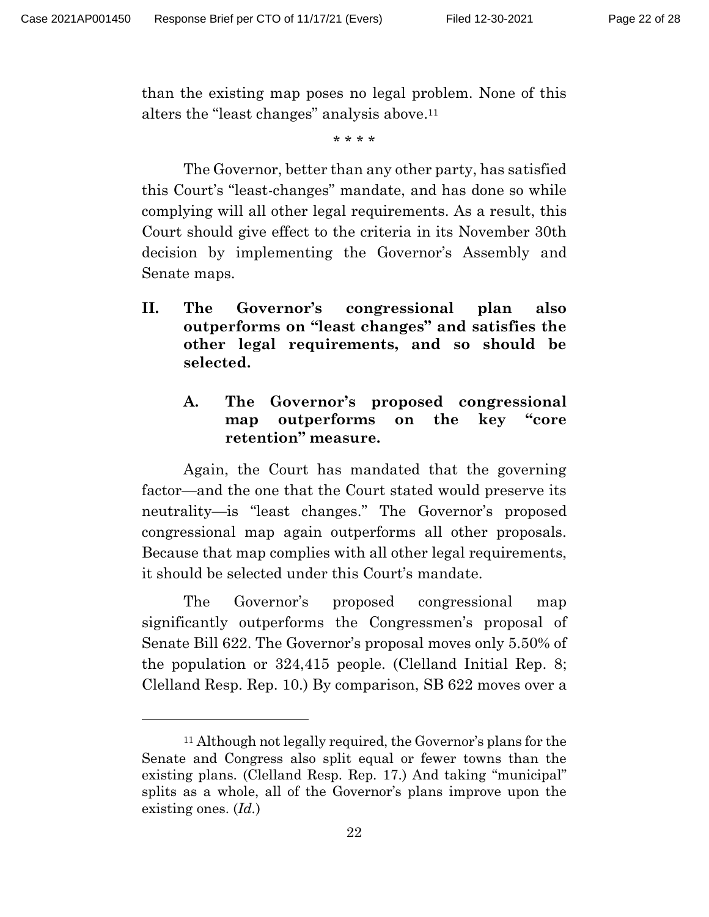than the existing map poses no legal problem. None of this alters the "least changes" analysis above. 11

\* \* \* \*

The Governor, better than any other party, has satisfied this Court's "least-changes" mandate, and has done so while complying will all other legal requirements. As a result, this Court should give effect to the criteria in its November 30th decision by implementing the Governor's Assembly and Senate maps.

**II. The Governor's congressional plan also outperforms on "least changes" and satisfies the other legal requirements, and so should be selected.**

## **A. The Governor's proposed congressional map outperforms on the key "core retention" measure.**

Again, the Court has mandated that the governing factor—and the one that the Court stated would preserve its neutrality—is "least changes." The Governor's proposed congressional map again outperforms all other proposals. Because that map complies with all other legal requirements, it should be selected under this Court's mandate.

The Governor's proposed congressional map significantly outperforms the Congressmen's proposal of Senate Bill 622. The Governor's proposal moves only 5.50% of the population or 324,415 people. (Clelland Initial Rep. 8; Clelland Resp. Rep. 10.) By comparison, SB 622 moves over a

<sup>11</sup> Although not legally required, the Governor's plans for the Senate and Congress also split equal or fewer towns than the existing plans. (Clelland Resp. Rep. 17.) And taking "municipal" splits as a whole, all of the Governor's plans improve upon the existing ones. (*Id.*)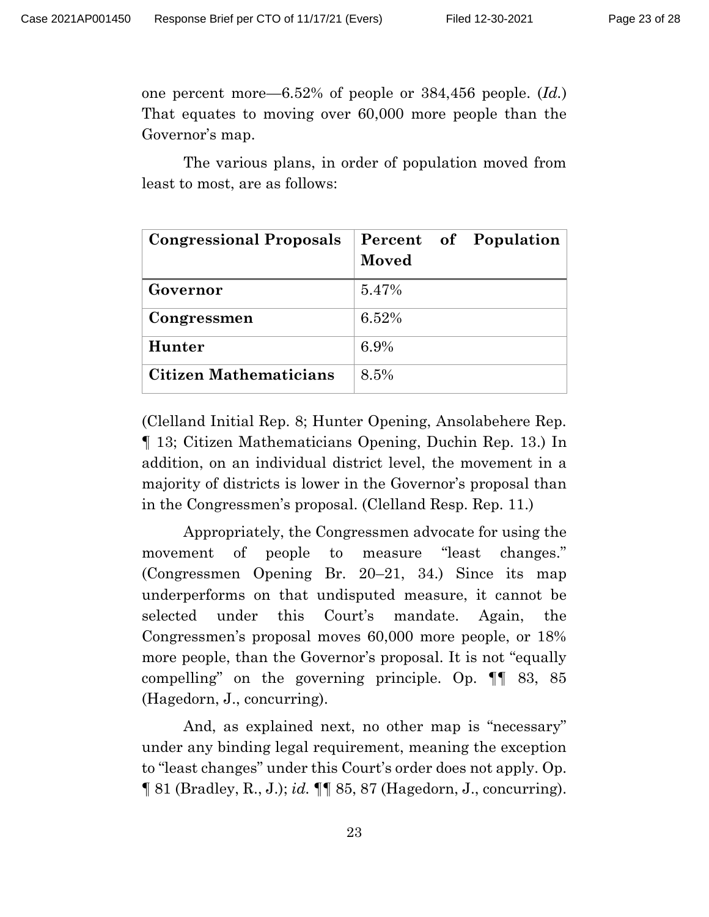one percent more—6.52% of people or 384,456 people. (*Id.*) That equates to moving over 60,000 more people than the Governor's map.

The various plans, in order of population moved from least to most, are as follows:

| <b>Congressional Proposals</b> | Percent of Population<br>Moved |
|--------------------------------|--------------------------------|
| Governor                       | 5.47%                          |
| Congressmen                    | 6.52%                          |
| Hunter                         | 6.9%                           |
| Citizen Mathematicians         | 8.5%                           |

(Clelland Initial Rep. 8; Hunter Opening, Ansolabehere Rep. ¶ 13; Citizen Mathematicians Opening, Duchin Rep. 13.) In addition, on an individual district level, the movement in a majority of districts is lower in the Governor's proposal than in the Congressmen's proposal. (Clelland Resp. Rep. 11.)

Appropriately, the Congressmen advocate for using the movement of people to measure "least changes." (Congressmen Opening Br. 20–21, 34.) Since its map underperforms on that undisputed measure, it cannot be selected under this Court's mandate. Again, the Congressmen's proposal moves 60,000 more people, or 18% more people, than the Governor's proposal. It is not "equally compelling" on the governing principle. Op. ¶¶ 83, 85 (Hagedorn, J., concurring).

And, as explained next, no other map is "necessary" under any binding legal requirement, meaning the exception to "least changes" under this Court's order does not apply. Op. ¶ 81 (Bradley, R., J.); *id.* ¶¶ 85, 87 (Hagedorn, J., concurring).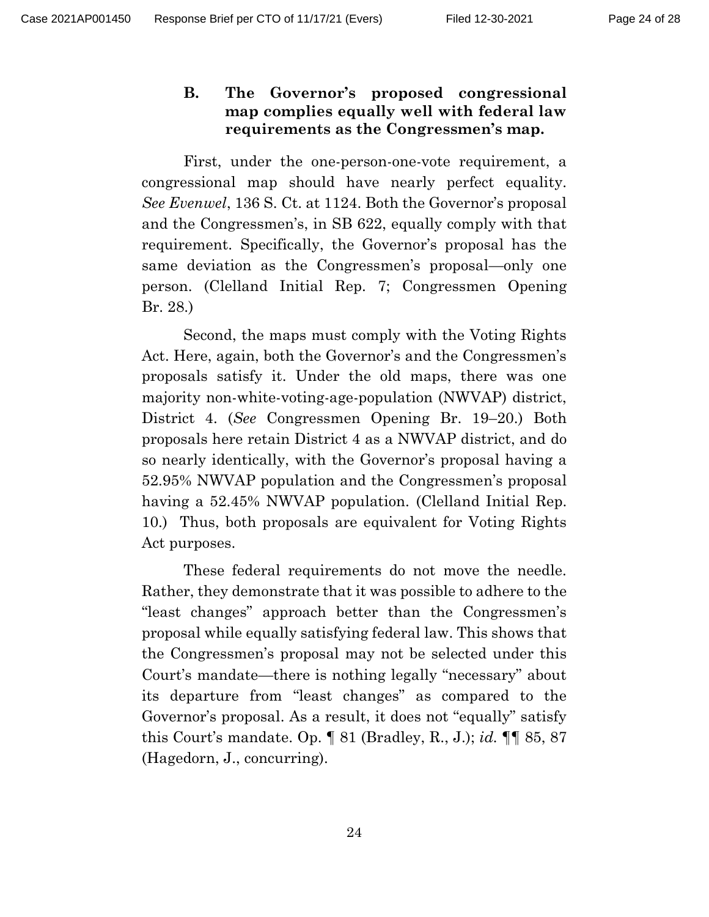## **B. The Governor's proposed congressional map complies equally well with federal law requirements as the Congressmen's map.**

First, under the one-person-one-vote requirement, a congressional map should have nearly perfect equality. *See Evenwel*, 136 S. Ct. at 1124. Both the Governor's proposal and the Congressmen's, in SB 622, equally comply with that requirement. Specifically, the Governor's proposal has the same deviation as the Congressmen's proposal—only one person. (Clelland Initial Rep. 7; Congressmen Opening Br. 28.)

Second, the maps must comply with the Voting Rights Act. Here, again, both the Governor's and the Congressmen's proposals satisfy it. Under the old maps, there was one majority non-white-voting-age-population (NWVAP) district, District 4. (*See* Congressmen Opening Br. 19–20.) Both proposals here retain District 4 as a NWVAP district, and do so nearly identically, with the Governor's proposal having a 52.95% NWVAP population and the Congressmen's proposal having a 52.45% NWVAP population. (Clelland Initial Rep. 10.) Thus, both proposals are equivalent for Voting Rights Act purposes.

These federal requirements do not move the needle. Rather, they demonstrate that it was possible to adhere to the "least changes" approach better than the Congressmen's proposal while equally satisfying federal law. This shows that the Congressmen's proposal may not be selected under this Court's mandate—there is nothing legally "necessary" about its departure from "least changes" as compared to the Governor's proposal. As a result, it does not "equally" satisfy this Court's mandate. Op. ¶ 81 (Bradley, R., J.); *id.* ¶¶ 85, 87 (Hagedorn, J., concurring).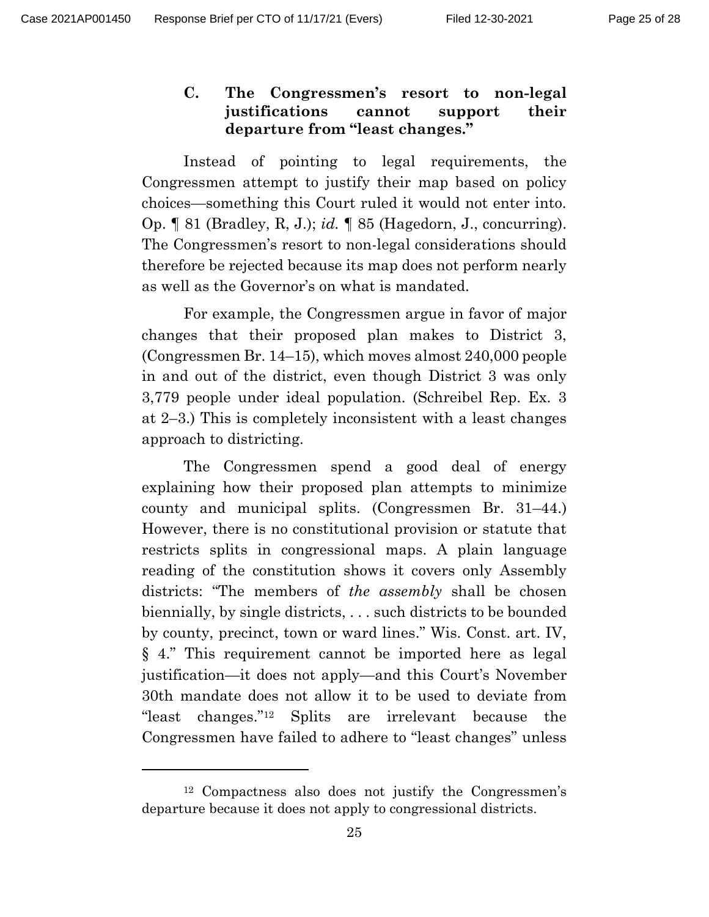## **C. The Congressmen's resort to non-legal justifications cannot support their departure from "least changes."**

Instead of pointing to legal requirements, the Congressmen attempt to justify their map based on policy choices—something this Court ruled it would not enter into. Op. ¶ 81 (Bradley, R, J.); *id.* ¶ 85 (Hagedorn, J., concurring). The Congressmen's resort to non-legal considerations should therefore be rejected because its map does not perform nearly as well as the Governor's on what is mandated.

For example, the Congressmen argue in favor of major changes that their proposed plan makes to District 3, (Congressmen Br. 14–15), which moves almost 240,000 people in and out of the district, even though District 3 was only 3,779 people under ideal population. (Schreibel Rep. Ex. 3 at 2–3.) This is completely inconsistent with a least changes approach to districting.

The Congressmen spend a good deal of energy explaining how their proposed plan attempts to minimize county and municipal splits. (Congressmen Br. 31–44.) However, there is no constitutional provision or statute that restricts splits in congressional maps. A plain language reading of the constitution shows it covers only Assembly districts: "The members of *the assembly* shall be chosen biennially, by single districts, . . . such districts to be bounded by county, precinct, town or ward lines." Wis. Const. art. IV, § 4." This requirement cannot be imported here as legal justification—it does not apply—and this Court's November 30th mandate does not allow it to be used to deviate from "least changes." <sup>12</sup> Splits are irrelevant because the Congressmen have failed to adhere to "least changes" unless

<sup>12</sup> Compactness also does not justify the Congressmen's departure because it does not apply to congressional districts.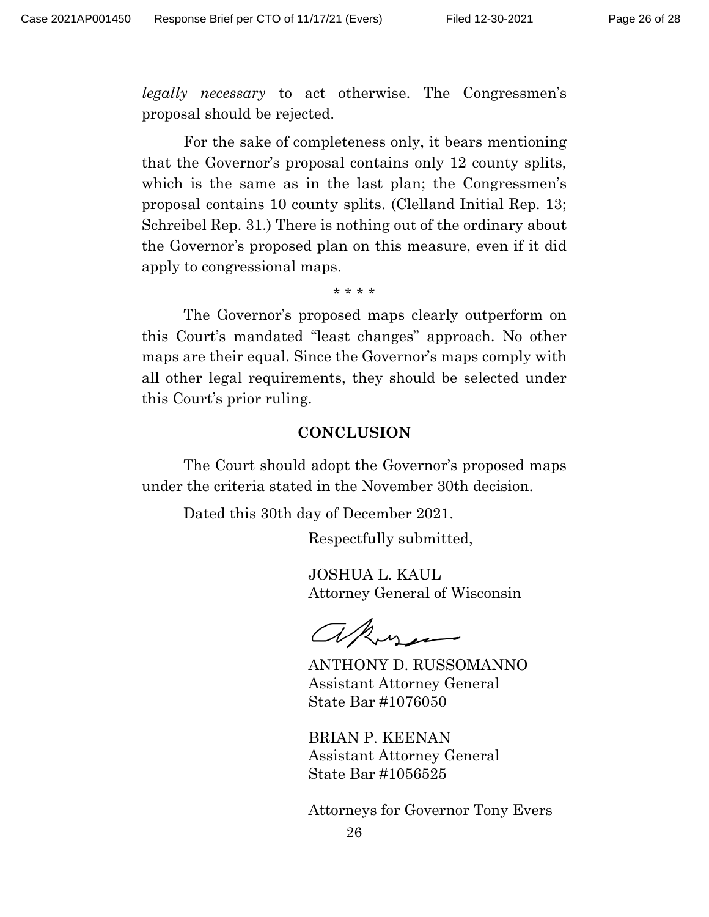*legally necessary* to act otherwise. The Congressmen's proposal should be rejected.

For the sake of completeness only, it bears mentioning that the Governor's proposal contains only 12 county splits, which is the same as in the last plan; the Congressmen's proposal contains 10 county splits. (Clelland Initial Rep. 13; Schreibel Rep. 31.) There is nothing out of the ordinary about the Governor's proposed plan on this measure, even if it did apply to congressional maps.

\* \* \* \*

The Governor's proposed maps clearly outperform on this Court's mandated "least changes" approach. No other maps are their equal. Since the Governor's maps comply with all other legal requirements, they should be selected under this Court's prior ruling.

#### **CONCLUSION**

The Court should adopt the Governor's proposed maps under the criteria stated in the November 30th decision.

Dated this 30th day of December 2021.

Respectfully submitted,

JOSHUA L. KAUL Attorney General of Wisconsin

akusa

ANTHONY D. RUSSOMANNO Assistant Attorney General State Bar #1076050

BRIAN P. KEENAN Assistant Attorney General State Bar #1056525

Attorneys for Governor Tony Evers

26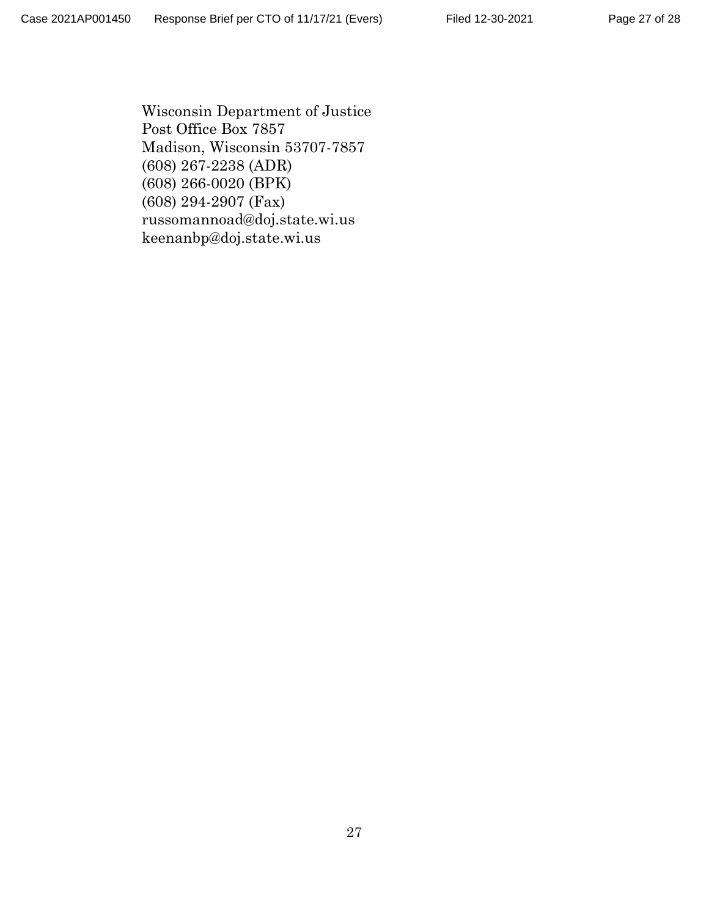Wisconsin Department of Justice Post Office Box 7857 Madison, Wisconsin 53707-7857 (608) 267-2238 (ADR) (608) 266-0020 (BPK) (608) 294-2907 (Fax) russomannoad@doj.state.wi.us keenanbp@doj.state.wi.us

Page 27 of 28